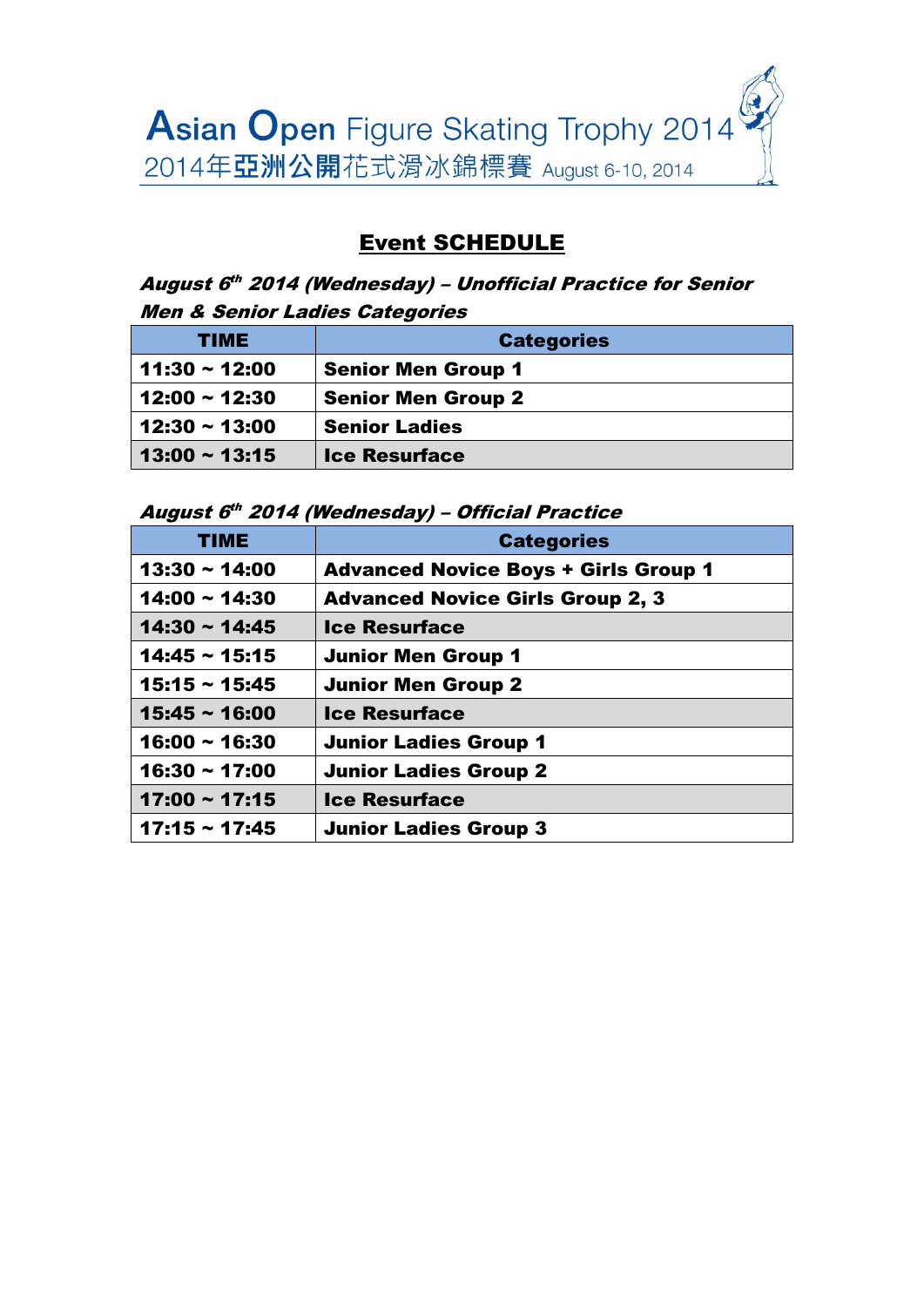

## Event SCHEDULE

#### August 6th 2014 (Wednesday) – Unofficial Practice for Senior Men & Senior Ladies Categories

| TIME               | <b>Categories</b>         |
|--------------------|---------------------------|
| $11:30 \sim 12:00$ | <b>Senior Men Group 1</b> |
| $12:00 \sim 12:30$ | <b>Senior Men Group 2</b> |
| $12:30 \sim 13:00$ | <b>Senior Ladies</b>      |
| $13:00 \sim 13:15$ | <b>Ice Resurface</b>      |

August 6 th 2014 (Wednesday) – Official Practice

| <b>TIME</b>        | <b>Categories</b>                           |
|--------------------|---------------------------------------------|
| $13:30 \sim 14:00$ | <b>Advanced Novice Boys + Girls Group 1</b> |
| $14:00 \sim 14:30$ | <b>Advanced Novice Girls Group 2, 3</b>     |
| $14:30 \sim 14:45$ | <b>Ice Resurface</b>                        |
| $14:45 \sim 15:15$ | <b>Junior Men Group 1</b>                   |
| $15:15 \sim 15:45$ | <b>Junior Men Group 2</b>                   |
| $15:45 \sim 16:00$ | <b>Ice Resurface</b>                        |
| $16:00 \sim 16:30$ | <b>Junior Ladies Group 1</b>                |
| $16:30 \sim 17:00$ | <b>Junior Ladies Group 2</b>                |
| $17:00 \sim 17:15$ | <b>Ice Resurface</b>                        |
| $17:15 \sim 17:45$ | <b>Junior Ladies Group 3</b>                |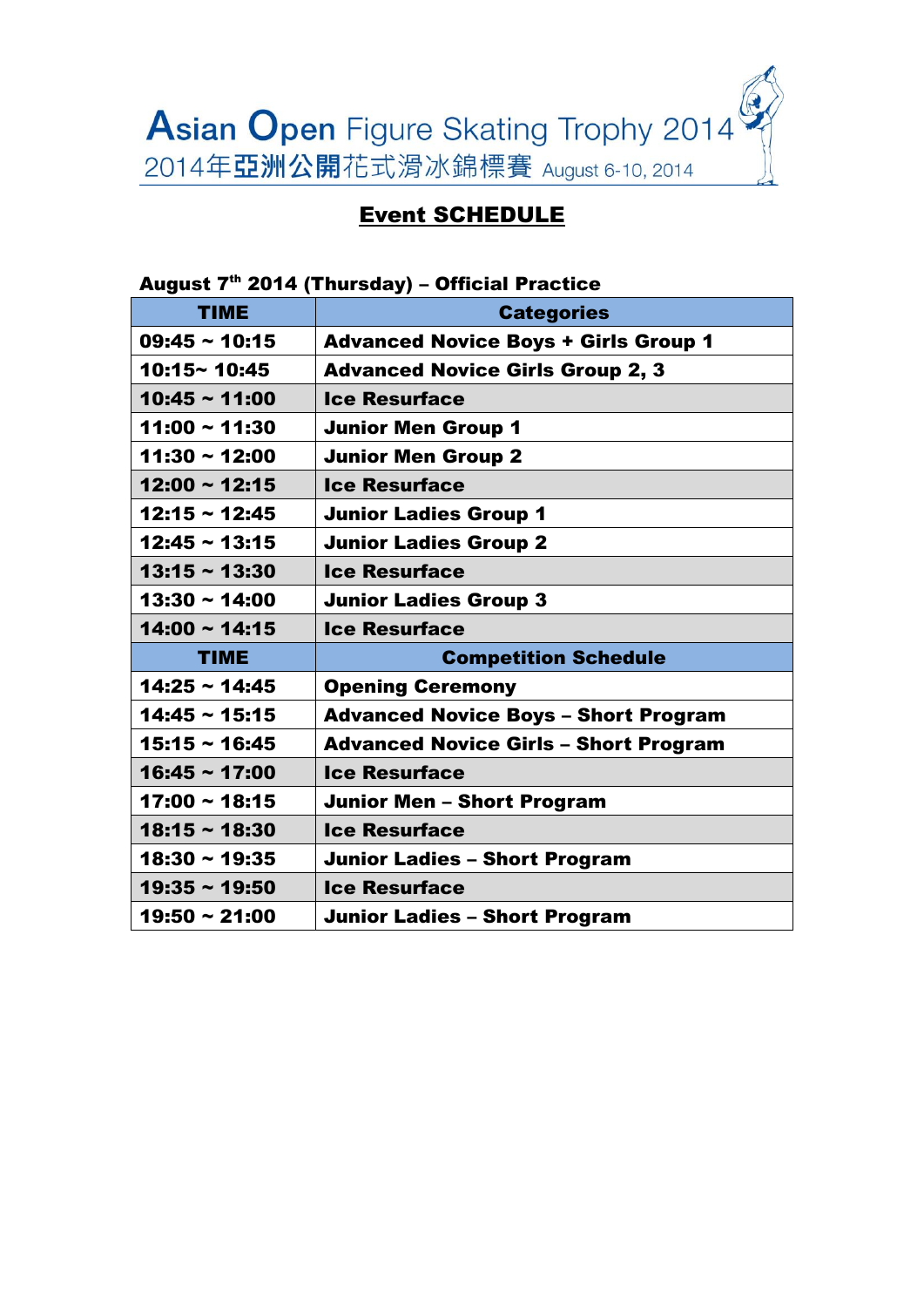

### Event SCHEDULE

## August  $7<sup>th</sup>$  2014 (Thursday) – Official Practice TIME **Categories** 09:45 ~ 10:15 Advanced Novice Boys + Girls Group 1 10:15~ 10:45 Advanced Novice Girls Group 2, 3 10:45 ~ 11:00 | Ice Resurface 11:00 ~ 11:30 Junior Men Group 1 11:30 ~ 12:00 Junior Men Group 2 12:00 ~ 12:15 Ice Resurface 12:15 ~ 12:45 Junior Ladies Group 1 12:45 ~ 13:15 Junior Ladies Group 2 13:15 ~ 13:30 | Ice Resurface 13:30 ~ 14:00 Junior Ladies Group 3 14:00 ~ 14:15 Ice Resurface TIME Competition Schedule 14:25 ~ 14:45 Opening Ceremony 14:45 ~ 15:15 Advanced Novice Boys – Short Program 15:15 ~ 16:45 Advanced Novice Girls – Short Program 16:45 ~ 17:00 Ice Resurface 17:00 ~ 18:15 Junior Men – Short Program  $18:15 \sim 18:30$  Ice Resurface 18:30 ~ 19:35 | Junior Ladies - Short Program 19:35 ~ 19:50 | Ice Resurface 19:50  $\sim$  21:00  $\mid$  Junior Ladies – Short Program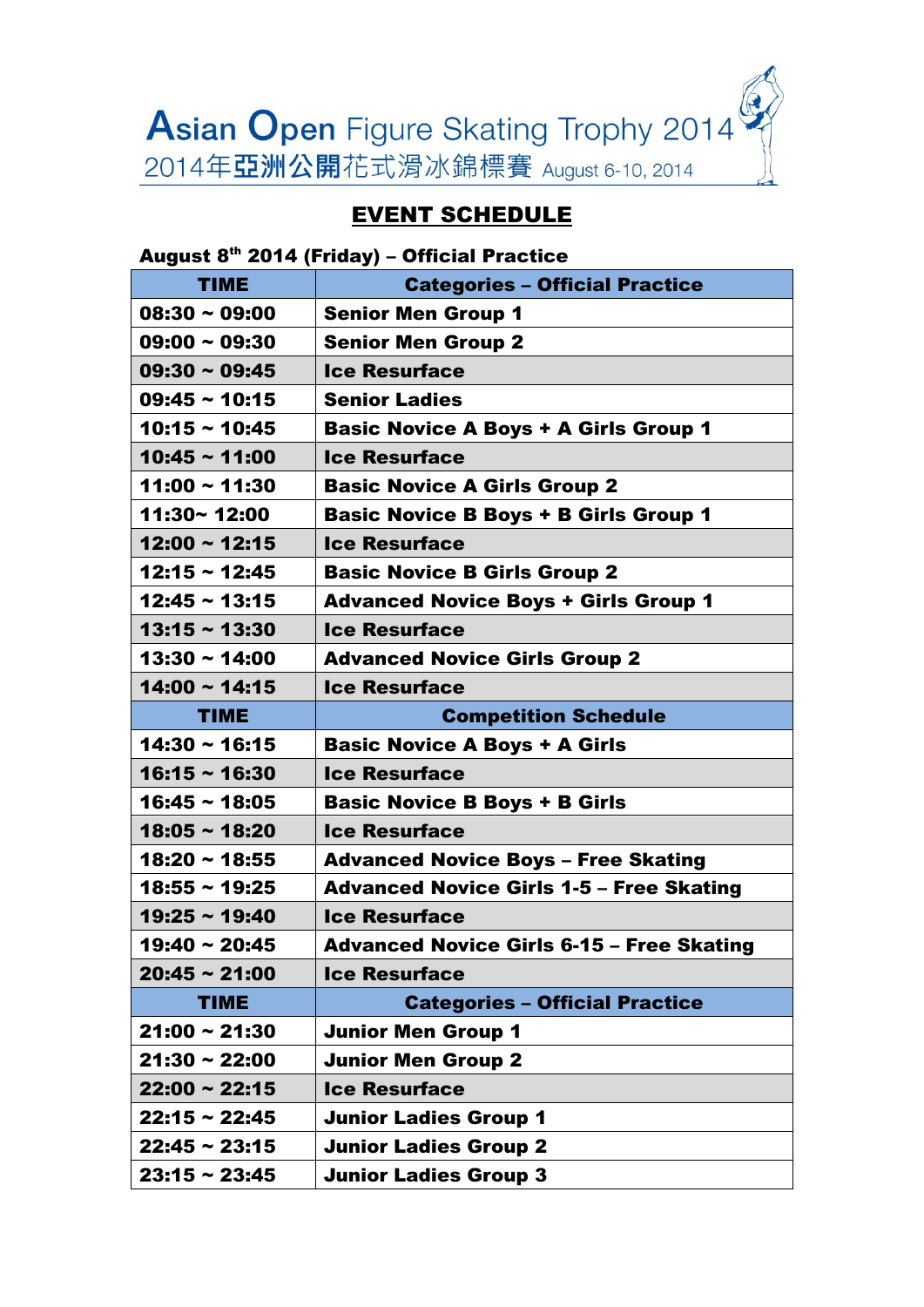Asian Open Figure Skating Trophy 2014 2014年亞洲公開花式滑冰錦標賽 August 6-10, 2014

# EVENT SCHEDULE

August 8th 2014 (Friday) – Official Practice

| <b>TIME</b>        | <b>Categories - Official Practice</b>            |
|--------------------|--------------------------------------------------|
| $08:30 \sim 09:00$ | <b>Senior Men Group 1</b>                        |
| $09:00 \sim 09:30$ | <b>Senior Men Group 2</b>                        |
| $09:30 \sim 09:45$ | <b>Ice Resurface</b>                             |
| $09:45 \sim 10:15$ | <b>Senior Ladies</b>                             |
| $10:15 \sim 10:45$ | <b>Basic Novice A Boys + A Girls Group 1</b>     |
| $10:45 \sim 11:00$ | <b>Ice Resurface</b>                             |
| $11:00 \sim 11:30$ | <b>Basic Novice A Girls Group 2</b>              |
| 11:30~12:00        | <b>Basic Novice B Boys + B Girls Group 1</b>     |
| $12:00 \sim 12:15$ | <b>Ice Resurface</b>                             |
| $12:15 \sim 12:45$ | <b>Basic Novice B Girls Group 2</b>              |
| $12:45 \sim 13:15$ | <b>Advanced Novice Boys + Girls Group 1</b>      |
| $13:15 \sim 13:30$ | <b>Ice Resurface</b>                             |
| $13:30 \sim 14:00$ | <b>Advanced Novice Girls Group 2</b>             |
| $14:00 \sim 14:15$ | <b>Ice Resurface</b>                             |
| <b>TIME</b>        | <b>Competition Schedule</b>                      |
| $14:30 \sim 16:15$ | <b>Basic Novice A Boys + A Girls</b>             |
| $16:15 \sim 16:30$ | <b>Ice Resurface</b>                             |
| $16:45 \sim 18:05$ | <b>Basic Novice B Boys + B Girls</b>             |
| $18:05 \sim 18:20$ | <b>Ice Resurface</b>                             |
| $18:20 \sim 18:55$ | <b>Advanced Novice Boys - Free Skating</b>       |
| $18:55 \sim 19:25$ | <b>Advanced Novice Girls 1-5 - Free Skating</b>  |
| $19:25 \sim 19:40$ | <b>Ice Resurface</b>                             |
| $19:40 \sim 20:45$ | <b>Advanced Novice Girls 6-15 - Free Skating</b> |
| $20:45 \sim 21:00$ | <b>Ice Resurface</b>                             |
| <b>TIME</b>        | <b>Categories - Official Practice</b>            |
| $21:00 \sim 21:30$ | <b>Junior Men Group 1</b>                        |
| $21:30 \sim 22:00$ | <b>Junior Men Group 2</b>                        |
| $22:00 \sim 22:15$ | <b>Ice Resurface</b>                             |
| $22:15 \sim 22:45$ | <b>Junior Ladies Group 1</b>                     |
| $22:45 \sim 23:15$ | <b>Junior Ladies Group 2</b>                     |
| $23:15 \sim 23:45$ | <b>Junior Ladies Group 3</b>                     |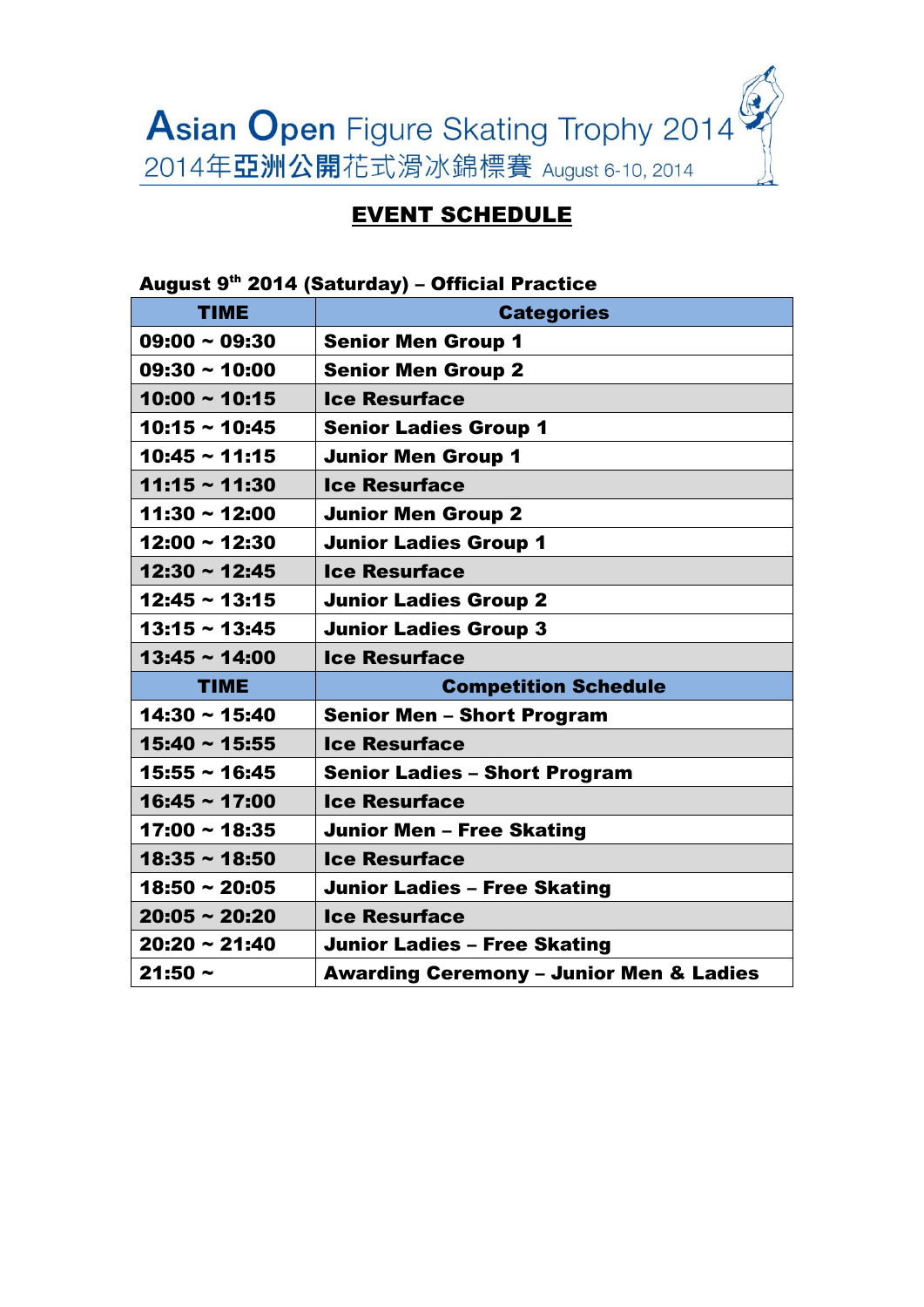

## EVENT SCHEDULE

| August 9th 2014 (Saturday) - Official Practice |                                                    |  |
|------------------------------------------------|----------------------------------------------------|--|
| <b>TIME</b>                                    | <b>Categories</b>                                  |  |
| $09:00 \sim 09:30$                             | <b>Senior Men Group 1</b>                          |  |
| $09:30 \sim 10:00$                             | <b>Senior Men Group 2</b>                          |  |
| $10:00 \sim 10:15$                             | <b>Ice Resurface</b>                               |  |
| $10:15 \sim 10:45$                             | <b>Senior Ladies Group 1</b>                       |  |
| $10:45 \sim 11:15$                             | <b>Junior Men Group 1</b>                          |  |
| $11:15 \sim 11:30$                             | <b>Ice Resurface</b>                               |  |
| $11:30 \sim 12:00$                             | <b>Junior Men Group 2</b>                          |  |
| $12:00 \sim 12:30$                             | <b>Junior Ladies Group 1</b>                       |  |
| $12:30 \sim 12:45$                             | <b>Ice Resurface</b>                               |  |
| $12:45 \sim 13:15$                             | <b>Junior Ladies Group 2</b>                       |  |
| $13:15 \sim 13:45$                             | <b>Junior Ladies Group 3</b>                       |  |
| $13:45 \sim 14:00$                             | <b>Ice Resurface</b>                               |  |
| <b>TIME</b>                                    | <b>Competition Schedule</b>                        |  |
| $14:30 \sim 15:40$                             | <b>Senior Men - Short Program</b>                  |  |
| $15:40 \sim 15:55$                             | <b>Ice Resurface</b>                               |  |
| $15:55 \sim 16:45$                             | <b>Senior Ladies - Short Program</b>               |  |
| $16:45 \sim 17:00$                             | <b>Ice Resurface</b>                               |  |
| $17:00 \sim 18:35$                             | <b>Junior Men - Free Skating</b>                   |  |
| $18:35 \sim 18:50$                             | <b>Ice Resurface</b>                               |  |
| $18:50 \sim 20:05$                             | <b>Junior Ladies - Free Skating</b>                |  |
| $20:05 \sim 20:20$                             | <b>Ice Resurface</b>                               |  |
| $20:20 \sim 21:40$                             | <b>Junior Ladies - Free Skating</b>                |  |
| $21:50 \sim$                                   | <b>Awarding Ceremony - Junior Men &amp; Ladies</b> |  |